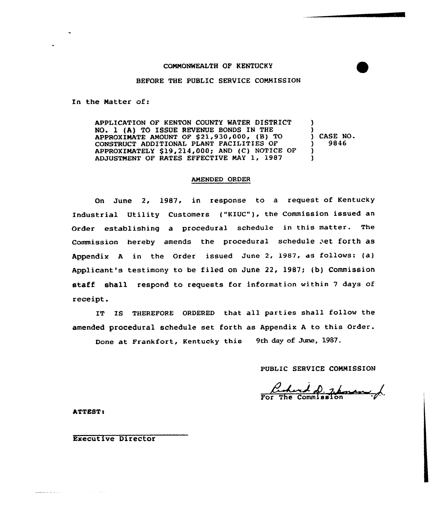## COMMONWEALTH OF KENTUCKY

## BEFORE THE PUBLIC SERVICE COMMISSION

In the Natter of:

APPLICATION OF KENTON COUNTY WATER DISTRICT NO. 1 (A) TO ISSUE REVENUE BONDS IN THE APPROXIMATE AMOUNT OF  $$21,930,000$ ,  $(B)$  TO CONSTRUCT ADDITIONAL PLANT FACILITIES OF APPROXIMATELY \$19,214,000; AND (C) NOTICE OF ADJUSTMENT OF RATES EFFECTIVE MAY 1, 1987 ) ) ) CASE NO. } 9846 )  $\mathbf{I}$ 

#### AMENDED ORDER

On June 2, 1987, in response to a request of Kentucky Industrial Utility Customers {"KIUC"), the Commission issued an Order establishing a procedural schedule in this matter. The Commission hereby amends the procedural schedule set forth as Appendix <sup>A</sup> in the Order issued June 2, 1987, as follows: (a) Applicant's testimony to be filed on June 22, 1987; (b} Commission staff shall respond to requests for information within <sup>7</sup> days of receipt.

IT IS THEREFORE ORDERED that all parties shall follow the amended procedural schedule set forth as Appendix <sup>A</sup> to this Order.

Done at Frankfort, Kentucky this 9th day of June, 1987.

PUBLIC SERVICE COMMISSION

ATTEST:

Executive Director